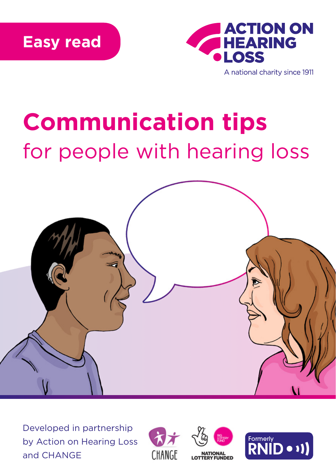

## **Communication tips** for people with hearing loss



Developed in partnership by Action on Hearing Loss and CHANGE





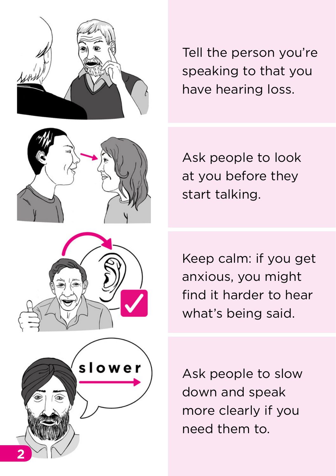





Tell the person you're speaking to that you have hearing loss.

Ask people to look at you before they start talking.

Keep calm: if you get anxious, you might find it harder to hear what's being said.

Ask people to slow down and speak more clearly if you need them to.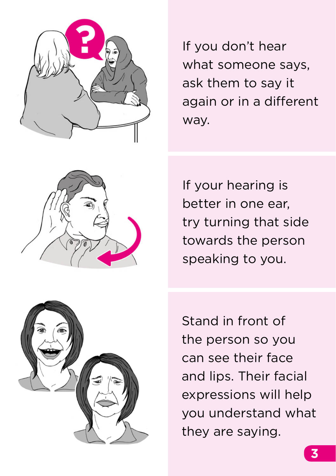

If you don't hear what someone says, ask them to say it again or in a different way.



If your hearing is better in one ear, try turning that side towards the person speaking to you.



Stand in front of the person so you can see their face and lips. Their facial expressions will help you understand what they are saying.